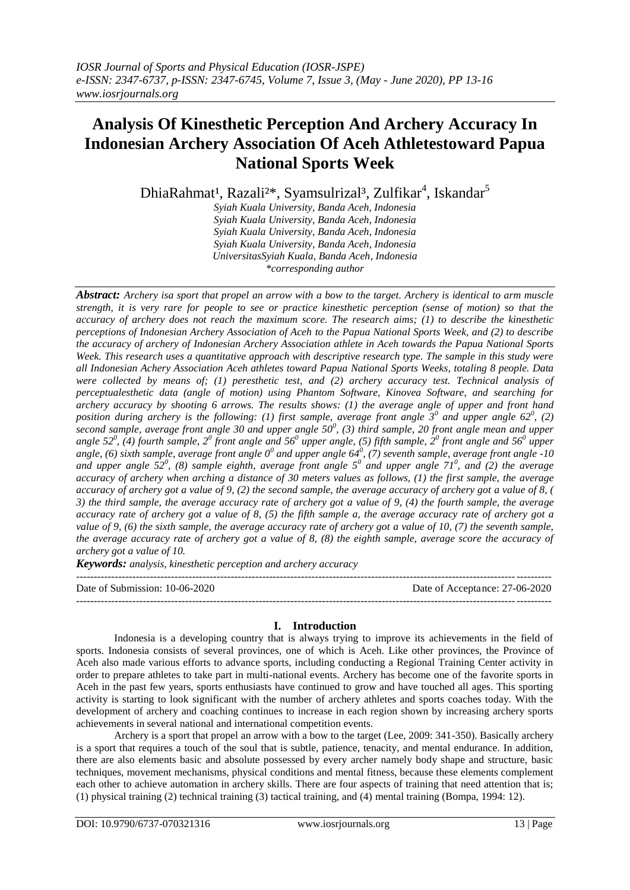# **Analysis Of Kinesthetic Perception And Archery Accuracy In Indonesian Archery Association Of Aceh Athletestoward Papua National Sports Week**

DhiaRahmat<sup>1</sup>, Razali<sup>2\*</sup>, Syamsulrizal<sup>3</sup>, Zulfikar<sup>4</sup>, Iskandar<sup>5</sup>

*Syiah Kuala University, Banda Aceh, Indonesia Syiah Kuala University, Banda Aceh, Indonesia Syiah Kuala University, Banda Aceh, Indonesia Syiah Kuala University, Banda Aceh, Indonesia UniversitasSyiah Kuala, Banda Aceh, Indonesia \*corresponding author*

*Abstract: Archery isa sport that propel an arrow with a bow to the target. Archery is identical to arm muscle strength, it is very rare for people to see or practice kinesthetic perception (sense of motion) so that the accuracy of archery does not reach the maximum score. The research aims; (1) to describe the kinesthetic perceptions of Indonesian Archery Association of Aceh to the Papua National Sports Week, and (2) to describe the accuracy of archery of Indonesian Archery Association athlete in Aceh towards the Papua National Sports Week. This research uses a quantitative approach with descriptive research type. The sample in this study were all Indonesian Achery Association Aceh athletes toward Papua National Sports Weeks, totaling 8 people. Data were collected by means of; (1) peresthetic test, and (2) archery accuracy test. Technical analysis of perceptualesthetic data (angle of motion) using Phantom Software, Kinovea Software, and searching for archery accuracy by shooting 6 arrows. The results shows: (1) the average angle of upper and front hand position during archery is the following: (1) first sample, average front angle 3<sup>0</sup> and upper angle 62<sup>0</sup>, (2) second sample, average front angle 30 and upper angle 50<sup>0</sup> , (3) third sample, 20 front angle mean and upper angle 52<sup>0</sup> , (4) fourth sample, 2<sup>0</sup> front angle and 56<sup>0</sup> upper angle, (5) fifth sample, 2<sup>0</sup> front angle and 56<sup>0</sup> upper* angle, (6) sixth sample, average front angle 0<sup>0</sup> and upper angle 64<sup>0</sup>, (7) seventh sample, average front angle -10 and upper angle  $52^0$ , (8) sample eighth, average front angle  $5^0$  and upper angle  $71^0$ , and (2) the average *accuracy of archery when arching a distance of 30 meters values as follows, (1) the first sample, the average accuracy of archery got a value of 9, (2) the second sample, the average accuracy of archery got a value of 8, ( 3) the third sample, the average accuracy rate of archery got a value of 9, (4) the fourth sample, the average accuracy rate of archery got a value of 8, (5) the fifth sample a, the average accuracy rate of archery got a value of 9, (6) the sixth sample, the average accuracy rate of archery got a value of 10, (7) the seventh sample, the average accuracy rate of archery got a value of 8, (8) the eighth sample, average score the accuracy of archery got a value of 10.*

*Keywords: analysis, kinesthetic perception and archery accuracy*

--------------------------------------------------------------------------------------------------------------------------------------- Date of Submission: 10-06-2020 Date of Acceptance: 27-06-2020 ---------------------------------------------------------------------------------------------------------------------------------------

# **I. Introduction**

Indonesia is a developing country that is always trying to improve its achievements in the field of sports. Indonesia consists of several provinces, one of which is Aceh. Like other provinces, the Province of Aceh also made various efforts to advance sports, including conducting a Regional Training Center activity in order to prepare athletes to take part in multi-national events. Archery has become one of the favorite sports in Aceh in the past few years, sports enthusiasts have continued to grow and have touched all ages. This sporting activity is starting to look significant with the number of archery athletes and sports coaches today. With the development of archery and coaching continues to increase in each region shown by increasing archery sports achievements in several national and international competition events.

Archery is a sport that propel an arrow with a bow to the target (Lee, 2009: 341-350). Basically archery is a sport that requires a touch of the soul that is subtle, patience, tenacity, and mental endurance. In addition, there are also elements basic and absolute possessed by every archer namely body shape and structure, basic techniques, movement mechanisms, physical conditions and mental fitness, because these elements complement each other to achieve automation in archery skills. There are four aspects of training that need attention that is; (1) physical training (2) technical training (3) tactical training, and (4) mental training (Bompa, 1994: 12).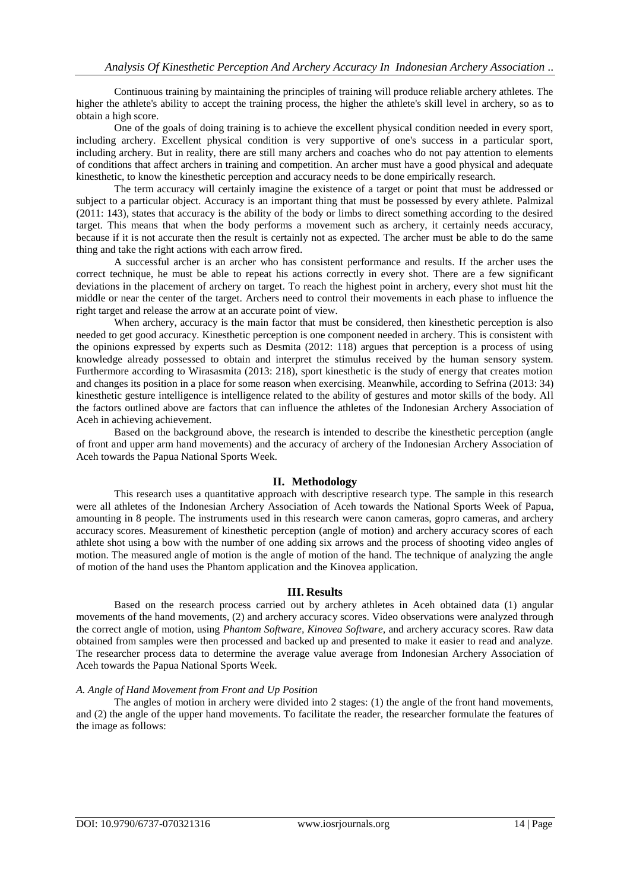Continuous training by maintaining the principles of training will produce reliable archery athletes. The higher the athlete's ability to accept the training process, the higher the athlete's skill level in archery, so as to obtain a high score.

One of the goals of doing training is to achieve the excellent physical condition needed in every sport, including archery. Excellent physical condition is very supportive of one's success in a particular sport, including archery. But in reality, there are still many archers and coaches who do not pay attention to elements of conditions that affect archers in training and competition. An archer must have a good physical and adequate kinesthetic, to know the kinesthetic perception and accuracy needs to be done empirically research.

The term accuracy will certainly imagine the existence of a target or point that must be addressed or subject to a particular object. Accuracy is an important thing that must be possessed by every athlete. Palmizal (2011: 143), states that accuracy is the ability of the body or limbs to direct something according to the desired target. This means that when the body performs a movement such as archery, it certainly needs accuracy, because if it is not accurate then the result is certainly not as expected. The archer must be able to do the same thing and take the right actions with each arrow fired.

A successful archer is an archer who has consistent performance and results. If the archer uses the correct technique, he must be able to repeat his actions correctly in every shot. There are a few significant deviations in the placement of archery on target. To reach the highest point in archery, every shot must hit the middle or near the center of the target. Archers need to control their movements in each phase to influence the right target and release the arrow at an accurate point of view.

When archery, accuracy is the main factor that must be considered, then kinesthetic perception is also needed to get good accuracy. Kinesthetic perception is one component needed in archery. This is consistent with the opinions expressed by experts such as Desmita (2012: 118) argues that perception is a process of using knowledge already possessed to obtain and interpret the stimulus received by the human sensory system. Furthermore according to Wirasasmita (2013: 218), sport kinesthetic is the study of energy that creates motion and changes its position in a place for some reason when exercising. Meanwhile, according to Sefrina (2013: 34) kinesthetic gesture intelligence is intelligence related to the ability of gestures and motor skills of the body. All the factors outlined above are factors that can influence the athletes of the Indonesian Archery Association of Aceh in achieving achievement.

Based on the background above, the research is intended to describe the kinesthetic perception (angle of front and upper arm hand movements) and the accuracy of archery of the Indonesian Archery Association of Aceh towards the Papua National Sports Week.

# **II. Methodology**

This research uses a quantitative approach with descriptive research type. The sample in this research were all athletes of the Indonesian Archery Association of Aceh towards the National Sports Week of Papua, amounting in 8 people. The instruments used in this research were canon cameras, gopro cameras, and archery accuracy scores. Measurement of kinesthetic perception (angle of motion) and archery accuracy scores of each athlete shot using a bow with the number of one adding six arrows and the process of shooting video angles of motion. The measured angle of motion is the angle of motion of the hand. The technique of analyzing the angle of motion of the hand uses the Phantom application and the Kinovea application.

## **III. Results**

Based on the research process carried out by archery athletes in Aceh obtained data (1) angular movements of the hand movements, (2) and archery accuracy scores. Video observations were analyzed through the correct angle of motion, using *Phantom Software, Kinovea Software,* and archery accuracy scores. Raw data obtained from samples were then processed and backed up and presented to make it easier to read and analyze. The researcher process data to determine the average value average from Indonesian Archery Association of Aceh towards the Papua National Sports Week.

## *A. Angle of Hand Movement from Front and Up Position*

The angles of motion in archery were divided into 2 stages: (1) the angle of the front hand movements, and (2) the angle of the upper hand movements. To facilitate the reader, the researcher formulate the features of the image as follows: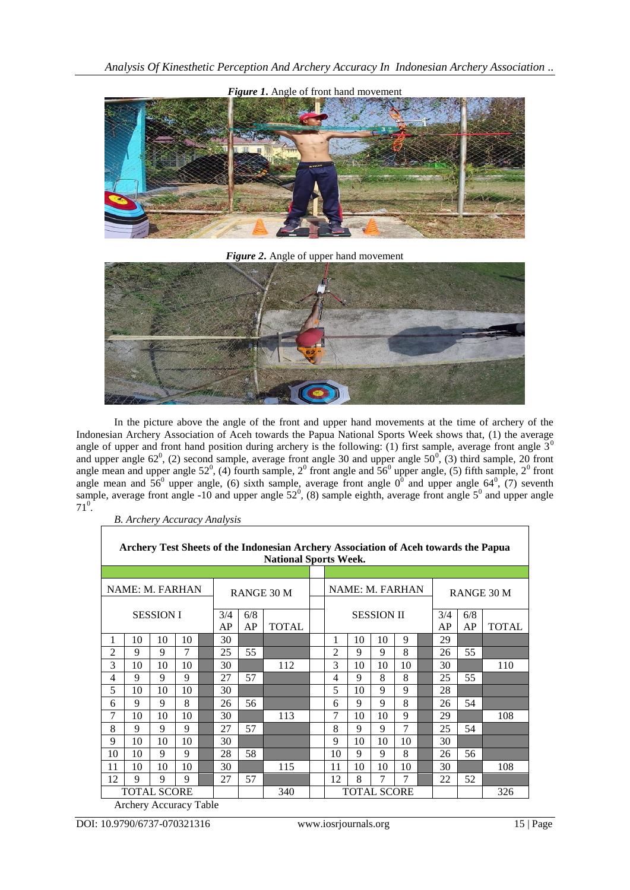

*Figure 2***.** Angle of upper hand movement



In the picture above the angle of the front and upper hand movements at the time of archery of the Indonesian Archery Association of Aceh towards the Papua National Sports Week shows that, (1) the average angle of upper and front hand position during archery is the following: (1) first sample, average front angle  $3<sup>0</sup>$ and upper angle  $62^0$ , (2) second sample, average front angle 30 and upper angle  $50^0$ , (3) third sample, 20 front angle mean and upper angle  $52^0$ , (4) fourth sample,  $2^0$  front angle and  $56^0$  upper angle, (5) fifth sample,  $2^0$  front angle mean and  $56^{\circ}$  upper angle, (6) sixth sample, average front angle  $0^{\circ}$  and upper angle 64<sup>0</sup>, (7) seventh sample, average front angle -10 and upper angle  $52^0$ , (8) sample eighth, average front angle  $5^0$  and upper angle  $71^0$ .

*B. Archery Accuracy Analysis*

| Archery Test Sheets of the Indonesian Archery Association of Aceh towards the Papua<br><b>National Sports Week.</b> |                                                |    |    |             |            |     |              |  |                                 |    |    |    |  |            |              |     |  |
|---------------------------------------------------------------------------------------------------------------------|------------------------------------------------|----|----|-------------|------------|-----|--------------|--|---------------------------------|----|----|----|--|------------|--------------|-----|--|
|                                                                                                                     |                                                |    |    |             |            |     |              |  |                                 |    |    |    |  |            |              |     |  |
| NAME: M. FARHAN                                                                                                     |                                                |    |    |             | RANGE 30 M |     |              |  | NAME: M. FARHAN                 |    |    |    |  | RANGE 30 M |              |     |  |
| <b>SESSION I</b>                                                                                                    |                                                |    |    |             | 3/4        | 6/8 |              |  | <b>SESSION II</b><br>3/4<br>6/8 |    |    |    |  |            |              |     |  |
|                                                                                                                     |                                                |    |    |             | AP         | AP  | <b>TOTAL</b> |  | AP<br>AP                        |    |    |    |  |            | <b>TOTAL</b> |     |  |
| 1                                                                                                                   | 10                                             | 10 | 10 |             | 30         |     |              |  |                                 | 10 | 10 | 9  |  | 29         |              |     |  |
| 2                                                                                                                   | 9                                              | 9  | 7  |             | 25         | 55  |              |  | $\overline{2}$                  | 9  | 9  | 8  |  | 26         | 55           |     |  |
| 3                                                                                                                   | 10                                             | 10 | 10 |             | 30         |     | 112          |  | 3                               | 10 | 10 | 10 |  | 30         |              | 110 |  |
| 4                                                                                                                   | 9                                              | 9  | 9  |             | 27         | 57  |              |  | 4                               | 9  | 8  | 8  |  | 25         | 55           |     |  |
| 5                                                                                                                   | 10                                             | 10 | 10 |             | 30         |     |              |  | 5                               | 10 | 9  | 9  |  | 28         |              |     |  |
| 6                                                                                                                   | 9                                              | 9  | 8  |             | 26         | 56  |              |  | 6                               | 9  | 9  | 8  |  | 26         | 54           |     |  |
| 7                                                                                                                   | 10                                             | 10 | 10 |             | 30         |     | 113          |  | 7                               | 10 | 10 | 9  |  | 29         |              | 108 |  |
| 8                                                                                                                   | 9                                              | 9  | 9  |             | 27         | 57  |              |  | 8                               | 9  | 9  | 7  |  | 25         | 54           |     |  |
| 9                                                                                                                   | 10                                             | 10 | 10 |             | 30         |     |              |  | 9                               | 10 | 10 | 10 |  | 30         |              |     |  |
| 10                                                                                                                  | 10                                             | 9  | 9  |             | 28         | 58  |              |  | 10                              | 9  | 9  | 8  |  | 26         | 56           |     |  |
| 11                                                                                                                  | 10                                             | 10 | 10 |             | 30         |     | 115          |  | 11                              | 10 | 10 | 10 |  | 30         |              | 108 |  |
| 12                                                                                                                  | 9                                              | 9  | 9  |             | 27         | 57  |              |  | 12                              | 8  | 7  | 7  |  | 22         | 52           |     |  |
|                                                                                                                     | <b>TOTAL SCORE</b><br>$A = 1, 1, 2, \ldots, A$ |    |    | $T = 1.1$ . |            |     | 340          |  | <b>TOTAL SCORE</b>              |    |    |    |  |            |              | 326 |  |

Archery Accuracy Table

٦